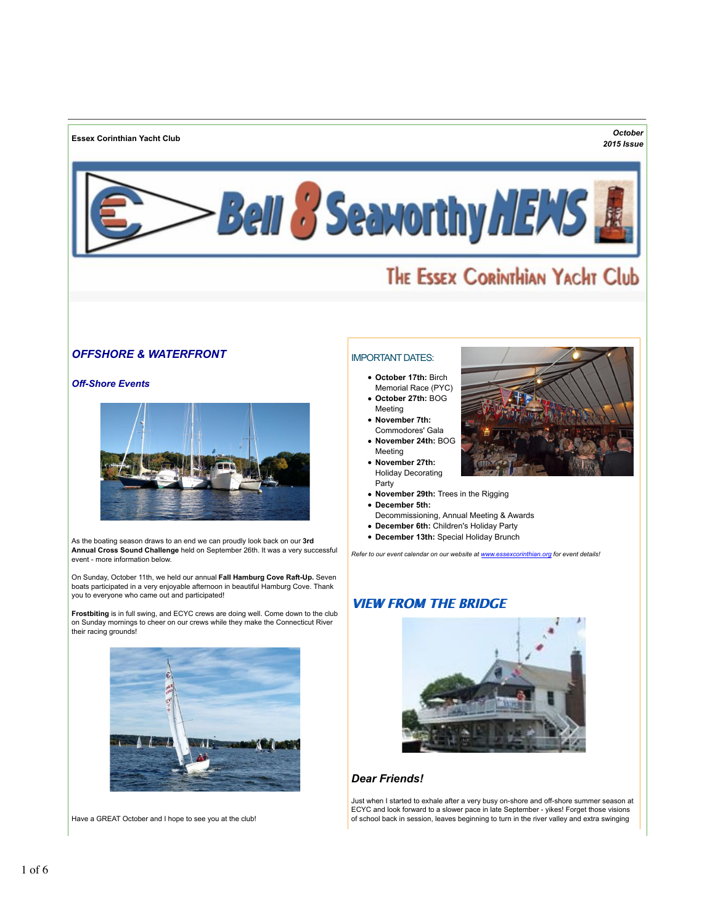**Essex Corinthian Yacht Club** *October*

## *2015 Issue*



# THE ESSEX CORINTHIAN YACHT Club

## *OFFSHORE & WATERFRONT*

#### *Off-Shore Events*



As the boating season draws to an end we can proudly look back on our **3rd Annual Cross Sound Challenge** held on September 26th. It was a very successful event - more information below.

On Sunday, October 11th, we held our annual **Fall Hamburg Cove Raft-Up.** Seven boats participated in a very enjoyable afternoon in beautiful Hamburg Cove. Thank you to everyone who came out and participated!

**Frostbiting** is in full swing, and ECYC crews are doing well. Come down to the club on Sunday mornings to cheer on our crews while they make the Connecticut River their racing grounds!



Have a GREAT October and I hope to see you at the club!

## IMPORTANT DATES:

- **October 17th:** Birch Memorial Race (PYC)
- **October 27th:** BOG Meeting
- **November 7th:** Commodores' Gala
- **November 24th:** BOG Meeting
- **November 27th:** Holiday Decorating Party
- **November 29th:** Trees in the Rigging
- **December 5th:**
- Decommissioning, Annual Meeting & Awards
- **December 6th:** Children's Holiday Party
- **December 13th:** Special Holiday Brunch

*Refer to our event calendar on our website at www.essexcorinthian.org for event details!*

## **VIEW FROM THE BRIDGE**



## *Dear Friends!*

Just when I started to exhale after a very busy on-shore and off-shore summer season at ECYC and look forward to a slower pace in late September - yikes! Forget those visions of school back in session, leaves beginning to turn in the river valley and extra swinging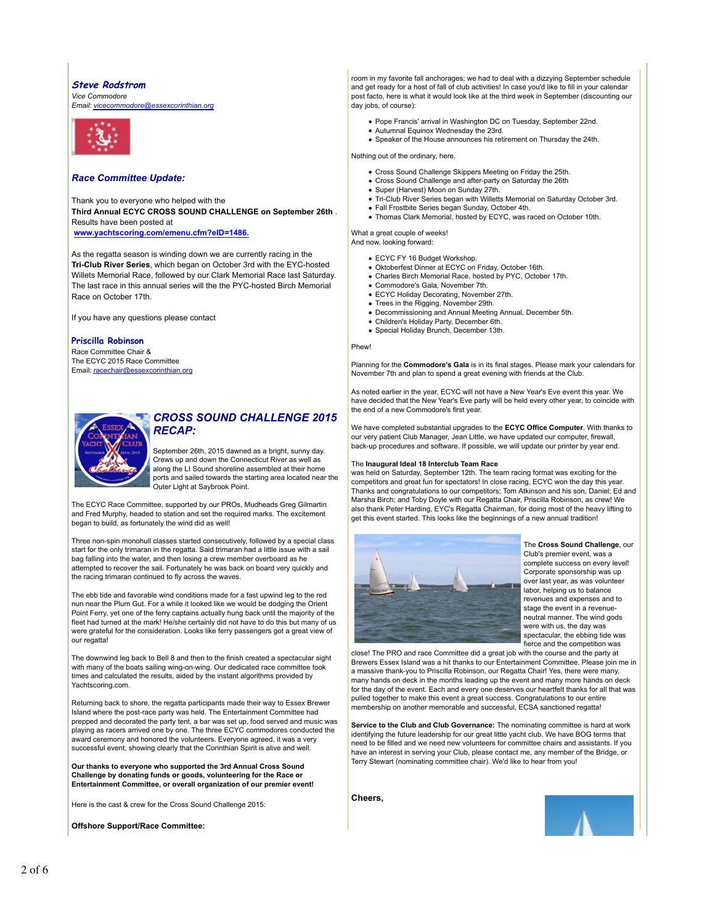#### **Steve Rodstrom**

*Vice Commodore Email: vicecommodore@essexcorinthian.org*



#### *Race Committee Update:*

Thank you to everyone who helped with the **Third Annual ECYC CROSS SOUND CHALLENGE on September 26th** . Results have been posted at

**www.yachtscoring.com/emenu.cfm?eID=1486.**

As the regatta season is winding down we are currently racing in the **Tri-Club River Series**, which began on October 3rd with the EYC-hosted Willets Memorial Race, followed by our Clark Memorial Race last Saturday. The last race in this annual series will the the PYC-hosted Birch Memorial Race on October 17th.

If you have any questions please contact

#### **Priscilla Robinson**

Race Committee Chair & The ECYC 2015 Race Committee Email: racechair@essexcorinthian.org



## *CROSS SOUND CHALLENGE 2015 RECAP:*

September 26th, 2015 dawned as a bright, sunny day. Crews up and down the Connecticut River as well as along the LI Sound shoreline assembled at their home ports and sailed towards the starting area located near the Outer Light at Saybrook Point.

The ECYC Race Committee, supported by our PROs, Mudheads Greg Gilmartin and Fred Murphy, headed to station and set the required marks. The excitement began to build, as fortunately the wind did as well!

Three non-spin monohull classes started consecutively, followed by a special class start for the only trimaran in the regatta. Said trimaran had a little issue with a sail bag falling into the water, and then losing a crew member overboard as he attempted to recover the sail. Fortunately he was back on board very quickly and the racing trimaran continued to fly across the waves.

The ebb tide and favorable wind conditions made for a fast upwind leg to the red nun near the Plum Gut. For a while it looked like we would be dodging the Orient Point Ferry, yet one of the ferry captains actually hung back until the majority of the fleet had turned at the mark! He/she certainly did not have to do this but many of us were grateful for the consideration. Looks like ferry passengers got a great view of our regatta!

The downwind leg back to Bell 8 and then to the finish created a spectacular sight with many of the boats sailing wing-on-wing. Our dedicated race committee took times and calculated the results, aided by the instant algorithms provided by Yachtscoring.com.

Returning back to shore, the regatta participants made their way to Essex Brewer Island where the post-race party was held. The Entertainment Committee had prepped and decorated the party tent, a bar was set up, food served and music w playing as racers arrived one by one. The three ECYC commodores conducted the award ceremony and honored the volunteers. Everyone agreed, it was a very successful event, showing clearly that the Corinthian Spirit is alive and well.

**Our thanks to everyone who supported the 3rd Annual Cross Sound Challenge by donating funds or goods, volunteering for the Race or Entertainment Committee, or overall organization of our premier event!**

Here is the cast & crew for the Cross Sound Challenge 2015:

**Offshore Support/Race Committee:**

room in my favorite fall anchorages; we had to deal with a dizzying September schedule and get ready for a host of fall of club activities! In case you'd like to fill in your calendar post facto, here is what it would look like at the third week in September (discounting our day jobs, of course):

- Pope Francis' arrival in Washington DC on Tuesday, September 22nd. Autumnal Equinox Wednesday the 23rd.
- Speaker of the House announces his retirement on Thursday the 24th.

Nothing out of the ordinary, here.

- Cross Sound Challenge Skippers Meeting on Friday the 25th.
- Cross Sound Challenge and after-party on Saturday the 26th
- Super (Harvest) Moon on Sunday 27th. Tri-Club River Series began with Willetts Memorial on Saturday October 3rd.
- 
- Fall Frostbite Series began Sunday, October 4th. Thomas Clark Memorial, hosted by ECYC, was raced on October 10th.
- What a great couple of weeks!

And now, looking forward:

- ECYC FY 16 Budget Workshop.
- Oktoberfest Dinner at ECYC on Friday, October 16th.
- Charles Birch Memorial Race, hosted by PYC, October 17th.
- Commodore's Gala, November 7th.
- ECYC Holiday Decorating, November 27th.
- Trees in the Rigging, November 29th.
- Decommissioning and Annual Meeting Annual, December 5th. Children's Holiday Party, December 6th.
- Special Holiday Brunch, December 13th.
- 

Phew!

Planning for the **Commodore's Gala** is in its final stages. Please mark your calendars for November 7th and plan to spend a great evening with friends at the Club.

As noted earlier in the year, ECYC will not have a New Year's Eve event this year. We have decided that the New Year's Eve party will be held every other year, to coincide with the end of a new Commodore's first year.

We have completed substantial upgrades to the **ECYC Office Computer**. With thanks to our very patient Club Manager, Jean Little, we have updated our computer, firewall, back-up procedures and software. If possible, we will update our printer by year end.

#### The **Inaugural Ideal 18 Interclub Team Race**

was held on Saturday, September 12th. The team racing format was exciting for the competitors and great fun for spectators! In close racing, ECYC won the day this year. Thanks and congratulations to our competitors; Tom Atkinson and his son, Daniel; Ed and Marsha Birch; and Toby Doyle with our Regatta Chair, Priscilla Robinson, as crew! We also thank Peter Harding, EYC's Regatta Chairman, for doing most of the heavy lifting to get this event started. This looks like the beginnings of a new annual tradition!



The **Cross Sound Challenge**, our Club's premier event, was a complete success on every level! Corporate sponsorship was up over last year, as was volunteer labor, helping us to balance revenues and expenses and to stage the event in a revenueneutral manner. The wind gods were with us, the day was spectacular, the ebbing tide was fierce and the competition was

close! The PRO and race Committee did a great job with the course and the party at Brewers Essex Island was a hit thanks to our Entertainment Committee. Please join me in a massive thank-you to Priscilla Robinson, our Regatta Chair! Yes, there were many, many hands on deck in the months leading up the event and many more hands on deck for the day of the event. Each and every one deserves our heartfelt thanks for all that was pulled together to make this event a great success. Congratulations to our entire membership on another memorable and successful, ECSA sanctioned regatta!

**Service to the Club and Club Governance:** The nominating committee is hard at work identifying the future leadership for our great little yacht club. We have BOG terms that need to be filled and we need new volunteers for committee chairs and assistants. If you have an interest in serving your Club, please contact me, any member of the Bridge, or Terry Stewart (nominating committee chair). We'd like to hear from you!

**Cheers,**

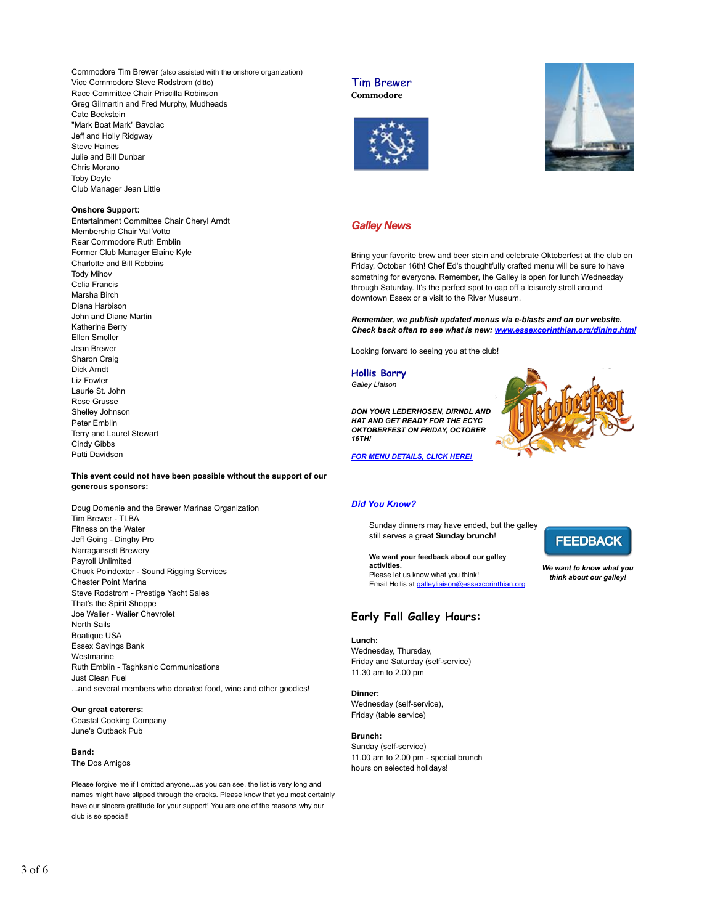Commodore Tim Brewer (also assisted with the onshore organization) Vice Commodore Steve Rodstrom (ditto) Race Committee Chair Priscilla Robinson Greg Gilmartin and Fred Murphy, Mudheads Cate Beckstein "Mark Boat Mark" Bavolac Jeff and Holly Ridgway Steve Haines Julie and Bill Dunbar Chris Morano Toby Doyle Club Manager Jean Little

#### **Onshore Support:**

Entertainment Committee Chair Cheryl Arndt Membership Chair Val Votto Rear Commodore Ruth Emblin Former Club Manager Elaine Kyle Charlotte and Bill Robbins Tody Mihov Celia Francis Marsha Birch Diana Harbison John and Diane Martin Katherine Berry Ellen Smoller Jean Brewer Sharon Craig Dick Arndt Liz Fowler Laurie St. John Rose Grusse Shelley Johnson Peter Emblin Terry and Laurel Stewart Cindy Gibbs Patti Davidson

#### **This event could not have been possible without the support of our generous sponsors:**

Doug Domenie and the Brewer Marinas Organization Tim Brewer - TLBA Fitness on the Water Jeff Going - Dinghy Pro Narragansett Brewery Payroll Unlimited Chuck Poindexter - Sound Rigging Services Chester Point Marina Steve Rodstrom - Prestige Yacht Sales That's the Spirit Shoppe Joe Walier - Walier Chevrolet North Sails Boatique USA Essex Savings Bank Westmarine Ruth Emblin - Taghkanic Communications Just Clean Fuel ...and several members who donated food, wine and other goodies!

#### **Our great caterers:**

Coastal Cooking Company June's Outback Pub

#### **Band:**

The Dos Amigos

Please forgive me if I omitted anyone...as you can see, the list is very long and names might have slipped through the cracks. Please know that you most certainly have our sincere gratitude for your support! You are one of the reasons why our club is so special!

Tim Brewer **Commodore**





## *Galley News*

Bring your favorite brew and beer stein and celebrate Oktoberfest at the club on Friday, October 16th! Chef Ed's thoughtfully crafted menu will be sure to have something for everyone. Remember, the Galley is open for lunch Wednesday through Saturday. It's the perfect spot to cap off a leisurely stroll around downtown Essex or a visit to the River Museum.

*Remember, we publish updated menus via e-blasts and on our website. Check back often to see what is new: www.essexcorinthian.org/dining.html*

Looking forward to seeing you at the club!

**Hollis Barry** *Galley Liaison*

*DON YOUR LEDERHOSEN, DIRNDL AND HAT AND GET READY FOR THE ECYC OKTOBERFEST ON FRIDAY, OCTOBER 16TH!*



*FOR MENU DETAILS, CLICK HERE!*

#### *Did You Know?*

Sunday dinners may have ended, but the galley still serves a great **Sunday brunch**!

**We want your feedback about our galley activities.** Please let us know what you think! Email Hollis at galleyliaison@essexcorinthian.org

## **Early Fall Galley Hours:**

**Lunch:**  Wednesday, Thursday, Friday and Saturday (self-service) 11.30 am to 2.00 pm

**Dinner:**  Wednesday (self-service), Friday (table service)

**Brunch:** Sunday (self-service) 11.00 am to 2.00 pm - special brunch hours on selected holidays!

**FEEDBACK** 

*We want to know what you think about our galley!*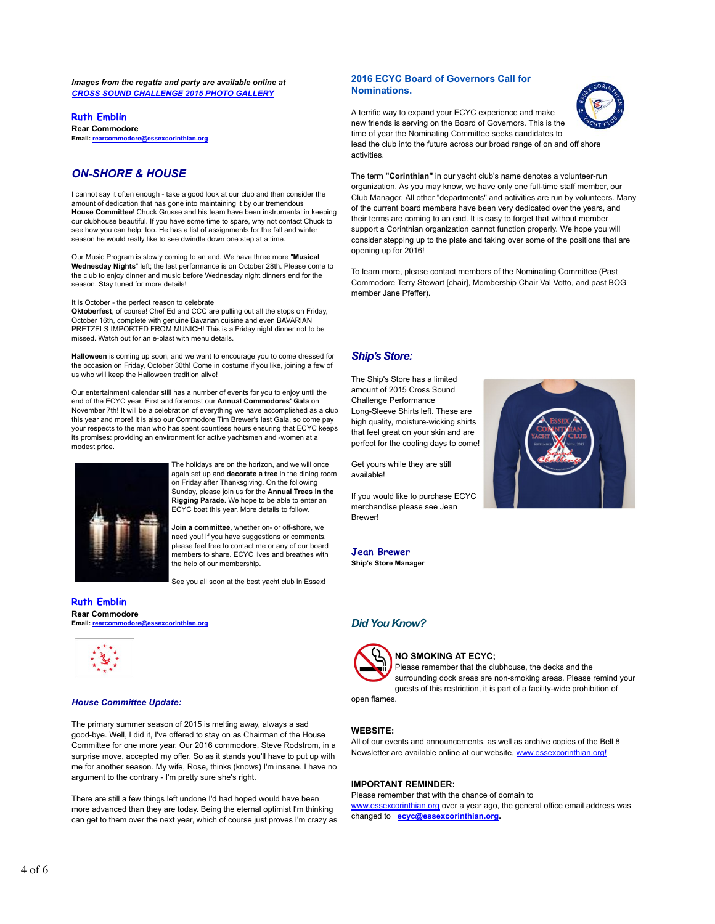*Images from the regatta and party are available online at CROSS SOUND CHALLENGE 2015 PHOTO GALLERY*

**Ruth Emblin Rear Commodore Email: rearcommodore@essexcorinthian.org**

## *ON-SHORE & HOUSE*

I cannot say it often enough - take a good look at our club and then consider the amount of dedication that has gone into maintaining it by our tremendous **House Committee**! Chuck Grusse and his team have been instrumental in keeping our clubhouse beautiful. If you have some time to spare, why not contact Chuck to see how you can help, too. He has a list of assignments for the fall and winter season he would really like to see dwindle down one step at a time.

Our Music Program is slowly coming to an end. We have three more "**Musical Wednesday Nights**" left; the last performance is on October 28th. Please come to the club to enjoy dinner and music before Wednesday night dinners end for the season. Stay tuned for more details!

It is October - the perfect reason to celebrate

**Oktoberfest**, of course! Chef Ed and CCC are pulling out all the stops on Friday, October 16th, complete with genuine Bavarian cuisine and even BAVARIAN PRETZELS IMPORTED FROM MUNICH! This is a Friday night dinner not to be missed. Watch out for an e-blast with menu details.

**Halloween** is coming up soon, and we want to encourage you to come dressed for the occasion on Friday, October 30th! Come in costume if you like, joining a few of us who will keep the Halloween tradition alive!

Our entertainment calendar still has a number of events for you to enjoy until the end of the ECYC year. First and foremost our **Annual Commodores' Gala** on November 7th! It will be a celebration of everything we have accomplished as a club this year and more! It is also our Commodore Tim Brewer's last Gala, so come pay your respects to the man who has spent countless hours ensuring that ECYC keeps its promises: providing an environment for active yachtsmen and -women at a modest price.



The holidays are on the horizon, and we will once again set up and **decorate a tree** in the dining room on Friday after Thanksgiving. On the following Sunday, please join us for the **Annual Trees in the Rigging Parade**. We hope to be able to enter an ECYC boat this year. More details to follow.

**Join a committee**, whether on- or off-shore, we need you! If you have suggestions or comments, please feel free to contact me or any of our board members to share. ECYC lives and breathes with the help of our membership.

See you all soon at the best yacht club in Essex!

**Ruth Emblin Rear Commodore Email: rearcommodore@essexcorinthian.org**



#### *House Committee Update:*

The primary summer season of 2015 is melting away, always a sad good-bye. Well, I did it, I've offered to stay on as Chairman of the House Committee for one more year. Our 2016 commodore, Steve Rodstrom, in a surprise move, accepted my offer. So as it stands you'll have to put up with me for another season. My wife, Rose, thinks (knows) I'm insane. I have no argument to the contrary - I'm pretty sure she's right.

There are still a few things left undone I'd had hoped would have been more advanced than they are today. Being the eternal optimist I'm thinking can get to them over the next year, which of course just proves I'm crazy as

## **2016 ECYC Board of Governors Call for Nominations.**



A terrific way to expand your ECYC experience and make new friends is serving on the Board of Governors. This is the time of year the Nominating Committee seeks candidates to lead the club into the future across our broad range of on and off shore activities.

The term **"Corinthian"** in our yacht club's name denotes a volunteer-run organization. As you may know, we have only one full-time staff member, our Club Manager. All other "departments" and activities are run by volunteers. Many of the current board members have been very dedicated over the years, and their terms are coming to an end. It is easy to forget that without member support a Corinthian organization cannot function properly. We hope you will consider stepping up to the plate and taking over some of the positions that are opening up for 2016!

To learn more, please contact members of the Nominating Committee (Past Commodore Terry Stewart [chair], Membership Chair Val Votto, and past BOG member Jane Pfeffer).

## *Ship's Store:*

The Ship's Store has a limited amount of 2015 Cross Sound Challenge Performance Long-Sleeve Shirts left. These are high quality, moisture-wicking shirts that feel great on your skin and are perfect for the cooling days to come!

Get yours while they are still available!

If you would like to purchase ECYC merchandise please see Jean Brewer!



**Jean Brewer Ship's Store Manager**

## *Did You Know?*



#### **NO SMOKING AT ECYC;**

Please remember that the clubhouse, the decks and the surrounding dock areas are non-smoking areas. Please remind your guests of this restriction, it is part of a facility-wide prohibition of

open flames.

#### **WEBSITE:**

All of our events and announcements, as well as archive copies of the Bell 8 Newsletter are available online at our website, www.essexcorinthian.org!

#### **IMPORTANT REMINDER:**

Please remember that with the chance of domain to www.essexcorinthian.org over a year ago, the general office email address was changed to **ecyc@essexcorinthian.org.**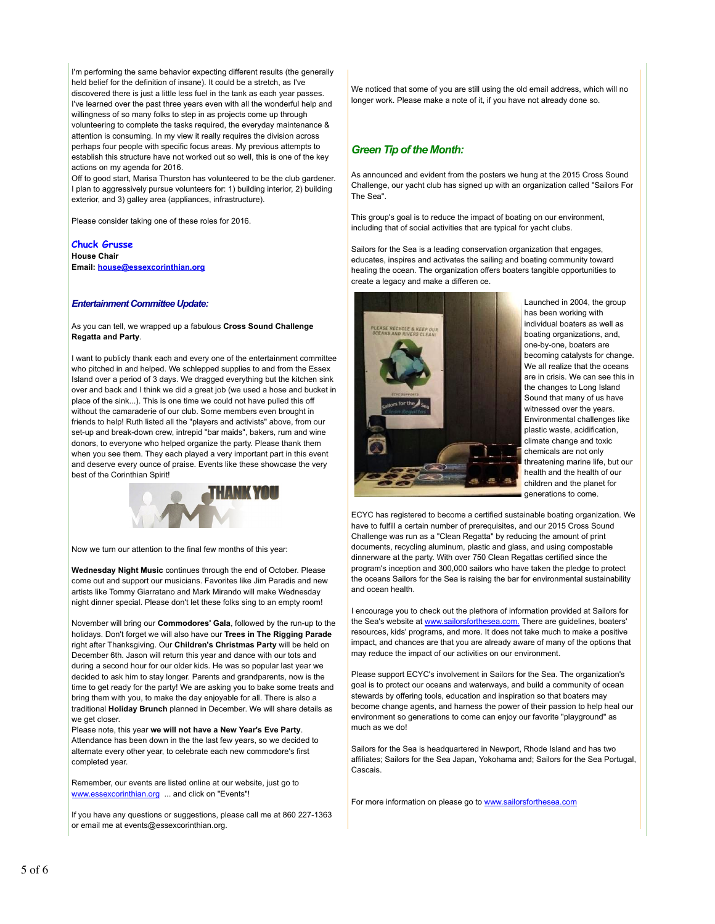I'm performing the same behavior expecting different results (the generally held belief for the definition of insane). It could be a stretch, as I've discovered there is just a little less fuel in the tank as each year passes. I've learned over the past three years even with all the wonderful help and willingness of so many folks to step in as projects come up through volunteering to complete the tasks required, the everyday maintenance & attention is consuming. In my view it really requires the division across perhaps four people with specific focus areas. My previous attempts to establish this structure have not worked out so well, this is one of the key actions on my agenda for 2016.

Off to good start, Marisa Thurston has volunteered to be the club gardener. I plan to aggressively pursue volunteers for: 1) building interior, 2) building exterior, and 3) galley area (appliances, infrastructure).

Please consider taking one of these roles for 2016.

## **Chuck Grusse**

**House Chair Email: house@essexcorinthian.org**

#### *Entertainment Committee Update:*

As you can tell, we wrapped up a fabulous **Cross Sound Challenge Regatta and Party**.

I want to publicly thank each and every one of the entertainment committee who pitched in and helped. We schlepped supplies to and from the Essex Island over a period of 3 days. We dragged everything but the kitchen sink over and back and I think we did a great job (we used a hose and bucket in place of the sink...). This is one time we could not have pulled this off without the camaraderie of our club. Some members even brought in friends to help! Ruth listed all the "players and activists" above, from our set-up and break-down crew, intrepid "bar maids", bakers, rum and wine donors, to everyone who helped organize the party. Please thank them when you see them. They each played a very important part in this event and deserve every ounce of praise. Events like these showcase the very best of the Corinthian Spirit!



Now we turn our attention to the final few months of this year:

**Wednesday Night Music** continues through the end of October. Please come out and support our musicians. Favorites like Jim Paradis and new artists like Tommy Giarratano and Mark Mirando will make Wednesday night dinner special. Please don't let these folks sing to an empty room!

November will bring our **Commodores' Gala**, followed by the run-up to the holidays. Don't forget we will also have our **Trees in The Rigging Parade** right after Thanksgiving. Our **Children's Christmas Party** will be held on December 6th. Jason will return this year and dance with our tots and during a second hour for our older kids. He was so popular last year we decided to ask him to stay longer. Parents and grandparents, now is the time to get ready for the party! We are asking you to bake some treats and bring them with you, to make the day enjoyable for all. There is also a traditional **Holiday Brunch** planned in December. We will share details as we get closer

Please note, this year **we will not have a New Year's Eve Party**. Attendance has been down in the the last few years, so we decided to alternate every other year, to celebrate each new commodore's first completed year.

Remember, our events are listed online at our website, just go to www.essexcorinthian.org ... and click on "Events"!

If you have any questions or suggestions, please call me at 860 227-1363 or email me at events@essexcorinthian.org.

We noticed that some of you are still using the old email address, which will no longer work. Please make a note of it, if you have not already done so.

#### *Green Tip of the Month:*

As announced and evident from the posters we hung at the 2015 Cross Sound Challenge, our yacht club has signed up with an organization called "Sailors For The Sea".

This group's goal is to reduce the impact of boating on our environment, including that of social activities that are typical for yacht clubs.

Sailors for the Sea is a leading conservation organization that engages, educates, inspires and activates the sailing and boating community toward healing the ocean. The organization offers boaters tangible opportunities to create a legacy and make a differen ce.



Launched in 2004, the group has been working with individual boaters as well as boating organizations, and, one-by-one, boaters are becoming catalysts for change. We all realize that the oceans are in crisis. We can see this in the changes to Long Island Sound that many of us have witnessed over the years. Environmental challenges like plastic waste, acidification, climate change and toxic chemicals are not only threatening marine life, but our health and the health of our children and the planet for generations to come.

ECYC has registered to become a certified sustainable boating organization. We have to fulfill a certain number of prerequisites, and our 2015 Cross Sound Challenge was run as a "Clean Regatta" by reducing the amount of print documents, recycling aluminum, plastic and glass, and using compostable dinnerware at the party. With over 750 Clean Regattas certified since the program's inception and 300,000 sailors who have taken the pledge to protect the oceans Sailors for the Sea is raising the bar for environmental sustainability and ocean health.

I encourage you to check out the plethora of information provided at Sailors for the Sea's website at www.sailorsforthesea.com. There are guidelines, boaters' resources, kids' programs, and more. It does not take much to make a positive impact, and chances are that you are already aware of many of the options that may reduce the impact of our activities on our environment.

Please support ECYC's involvement in Sailors for the Sea. The organization's goal is to protect our oceans and waterways, and build a community of ocean stewards by offering tools, education and inspiration so that boaters may become change agents, and harness the power of their passion to help heal our environment so generations to come can enjoy our favorite "playground" as much as we do!

Sailors for the Sea is headquartered in Newport, Rhode Island and has two affiliates; Sailors for the Sea Japan, Yokohama and; Sailors for the Sea Portugal, Cascais.

For more information on please go to www.sailorsforthesea.com